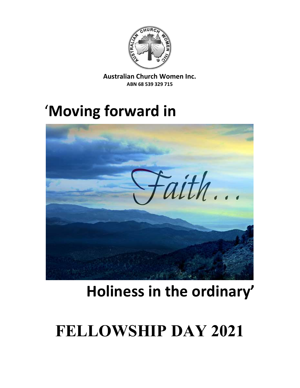

Australian Church Women Inc. ABN 68 539 329 715

## 'Moving forward in



# Holiness in the ordinary'

# FELLOWSHIP DAY 2021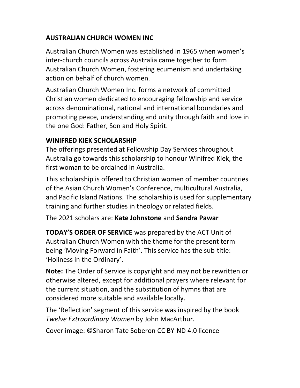## AUSTRALIAN CHURCH WOMEN INC

Australian Church Women was established in 1965 when women's inter-church councils across Australia came together to form Australian Church Women, fostering ecumenism and undertaking action on behalf of church women.

Australian Church Women Inc. forms a network of committed Christian women dedicated to encouraging fellowship and service across denominational, national and international boundaries and promoting peace, understanding and unity through faith and love in the one God: Father, Son and Holy Spirit.

## WINIFRED KIEK SCHOLARSHIP

The offerings presented at Fellowship Day Services throughout Australia go towards this scholarship to honour Winifred Kiek, the first woman to be ordained in Australia.

This scholarship is offered to Christian women of member countries of the Asian Church Women's Conference, multicultural Australia, and Pacific Island Nations. The scholarship is used for supplementary training and further studies in theology or related fields.

The 2021 scholars are: Kate Johnstone and Sandra Pawar

TODAY'S ORDER OF SERVICE was prepared by the ACT Unit of Australian Church Women with the theme for the present term being 'Moving Forward in Faith'. This service has the sub-title: 'Holiness in the Ordinary'.

Note: The Order of Service is copyright and may not be rewritten or otherwise altered, except for additional prayers where relevant for the current situation, and the substitution of hymns that are considered more suitable and available locally.

The 'Reflection' segment of this service was inspired by the book Twelve Extraordinary Women by John MacArthur.

Cover image: ©Sharon Tate Soberon CC BY-ND 4.0 licence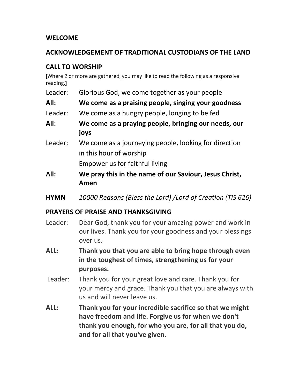#### WELCOME

#### ACKNOWLEDGEMENT OF TRADITIONAL CUSTODIANS OF THE LAND

## CALL TO WORSHIP

[Where 2 or more are gathered, you may like to read the following as a responsive reading.]

- Leader: Glorious God, we come together as your people
- All: We come as a praising people, singing your goodness
- Leader: We come as a hungry people, longing to be fed
- All: We come as a praying people, bringing our needs, our joys
- Leader: We come as a journeying people, looking for direction in this hour of worship

Empower us for faithful living

- All: We pray this in the name of our Saviour, Jesus Christ, Amen
- HYMN 10000 Reasons (Bless the Lord) /Lord of Creation (TIS 626)

## PRAYERS OF PRAISE AND THANKSGIVING

- Leader: Dear God, thank you for your amazing power and work in our lives. Thank you for your goodness and your blessings over us.
- ALL: Thank you that you are able to bring hope through even in the toughest of times, strengthening us for your purposes.
- Leader: Thank you for your great love and care. Thank you for your mercy and grace. Thank you that you are always with us and will never leave us.
- ALL: Thank you for your incredible sacrifice so that we might have freedom and life. Forgive us for when we don't thank you enough, for who you are, for all that you do, and for all that you've given.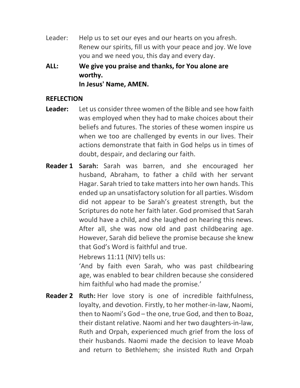- Leader: Help us to set our eyes and our hearts on you afresh. Renew our spirits, fill us with your peace and joy. We love you and we need you, this day and every day.
- ALL: We give you praise and thanks, for You alone are worthy. In Jesus' Name, AMEN.

#### REFLECTION

- **Leader:** Let us consider three women of the Bible and see how faith was employed when they had to make choices about their beliefs and futures. The stories of these women inspire us when we too are challenged by events in our lives. Their actions demonstrate that faith in God helps us in times of doubt, despair, and declaring our faith.
- Reader 1 Sarah: Sarah was barren, and she encouraged her husband, Abraham, to father a child with her servant Hagar. Sarah tried to take matters into her own hands. This ended up an unsatisfactory solution for all parties. Wisdom did not appear to be Sarah's greatest strength, but the Scriptures do note her faith later. God promised that Sarah would have a child, and she laughed on hearing this news. After all, she was now old and past childbearing age. However, Sarah did believe the promise because she knew that God's Word is faithful and true.

Hebrews 11:11 (NIV) tells us:

'And by faith even Sarah, who was past childbearing age, was enabled to bear children because she considered him faithful who had made the promise.'

Reader 2 Ruth: Her love story is one of incredible faithfulness, loyalty, and devotion. Firstly, to her mother-in-law, Naomi, then to Naomi's God – the one, true God, and then to Boaz, their distant relative. Naomi and her two daughters-in-law, Ruth and Orpah, experienced much grief from the loss of their husbands. Naomi made the decision to leave Moab and return to Bethlehem; she insisted Ruth and Orpah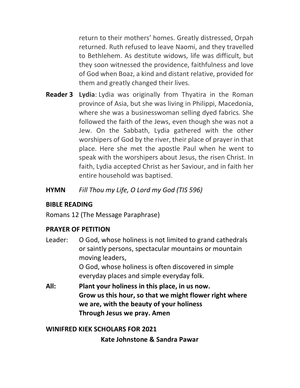return to their mothers' homes. Greatly distressed, Orpah returned. Ruth refused to leave Naomi, and they travelled to Bethlehem. As destitute widows, life was difficult, but they soon witnessed the providence, faithfulness and love of God when Boaz, a kind and distant relative, provided for them and greatly changed their lives.

- **Reader 3 Lydia:** Lydia was originally from Thyatira in the Roman province of Asia, but she was living in Philippi, Macedonia, where she was a businesswoman selling dyed fabrics. She followed the faith of the Jews, even though she was not a Jew. On the Sabbath, Lydia gathered with the other worshipers of God by the river, their place of prayer in that place. Here she met the apostle Paul when he went to speak with the worshipers about Jesus, the risen Christ. In faith, Lydia accepted Christ as her Saviour, and in faith her entire household was baptised.
- HYMN Fill Thou my Life, O Lord my God (TIS 596)

#### BIBLE READING

Romans 12 (The Message Paraphrase)

#### PRAYER OF PETITION

- Leader: O God, whose holiness is not limited to grand cathedrals or saintly persons, spectacular mountains or mountain moving leaders, O God, whose holiness is often discovered in simple everyday places and simple everyday folk.
- All: Plant your holiness in this place, in us now. Grow us this hour, so that we might flower right where we are, with the beauty of your holiness Through Jesus we pray. Amen

#### WINIFRED KIEK SCHOLARS FOR 2021

Kate Johnstone & Sandra Pawar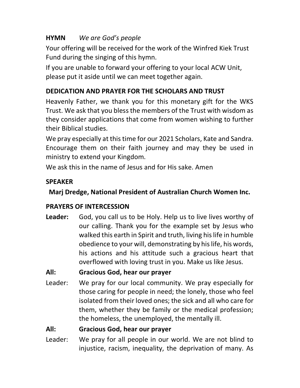## HYMN We are God's people

Your offering will be received for the work of the Winfred Kiek Trust Fund during the singing of this hymn.

If you are unable to forward your offering to your local ACW Unit, please put it aside until we can meet together again.

## DEDICATION AND PRAYER FOR THE SCHOLARS AND TRUST

Heavenly Father, we thank you for this monetary gift for the WKS Trust. We ask that you bless the members of the Trust with wisdom as they consider applications that come from women wishing to further their Biblical studies.

We pray especially at this time for our 2021 Scholars, Kate and Sandra. Encourage them on their faith journey and may they be used in ministry to extend your Kingdom.

We ask this in the name of Jesus and for His sake. Amen

## **SPEAKER**

## Marj Dredge, National President of Australian Church Women Inc.

## PRAYERS OF INTERCESSION

Leader: God, you call us to be Holy. Help us to live lives worthy of our calling. Thank you for the example set by Jesus who walked this earth in Spirit and truth, living his life in humble obedience to your will, demonstrating by his life, his words, his actions and his attitude such a gracious heart that overflowed with loving trust in you. Make us like Jesus.

## All: Gracious God, hear our prayer

Leader: We pray for our local community. We pray especially for those caring for people in need; the lonely, those who feel isolated from their loved ones; the sick and all who care for them, whether they be family or the medical profession; the homeless, the unemployed, the mentally ill.

## All: Gracious God, hear our prayer

Leader: We pray for all people in our world. We are not blind to injustice, racism, inequality, the deprivation of many. As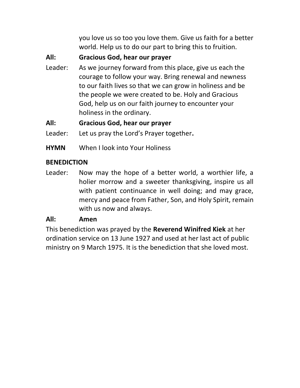you love us so too you love them. Give us faith for a better world. Help us to do our part to bring this to fruition.

All: Gracious God, hear our prayer

Leader: As we journey forward from this place, give us each the courage to follow your way. Bring renewal and newness to our faith lives so that we can grow in holiness and be the people we were created to be. Holy and Gracious God, help us on our faith journey to encounter your holiness in the ordinary.

All: Gracious God, hear our prayer

Leader: Let us pray the Lord's Prayer together.

HYMN When I look into Your Holiness

## **BENEDICTION**

Leader: Now may the hope of a better world, a worthier life, a holier morrow and a sweeter thanksgiving, inspire us all with patient continuance in well doing; and may grace, mercy and peace from Father, Son, and Holy Spirit, remain with us now and always.

#### All: Amen

This benediction was prayed by the Reverend Winifred Kiek at her ordination service on 13 June 1927 and used at her last act of public ministry on 9 March 1975. It is the benediction that she loved most.